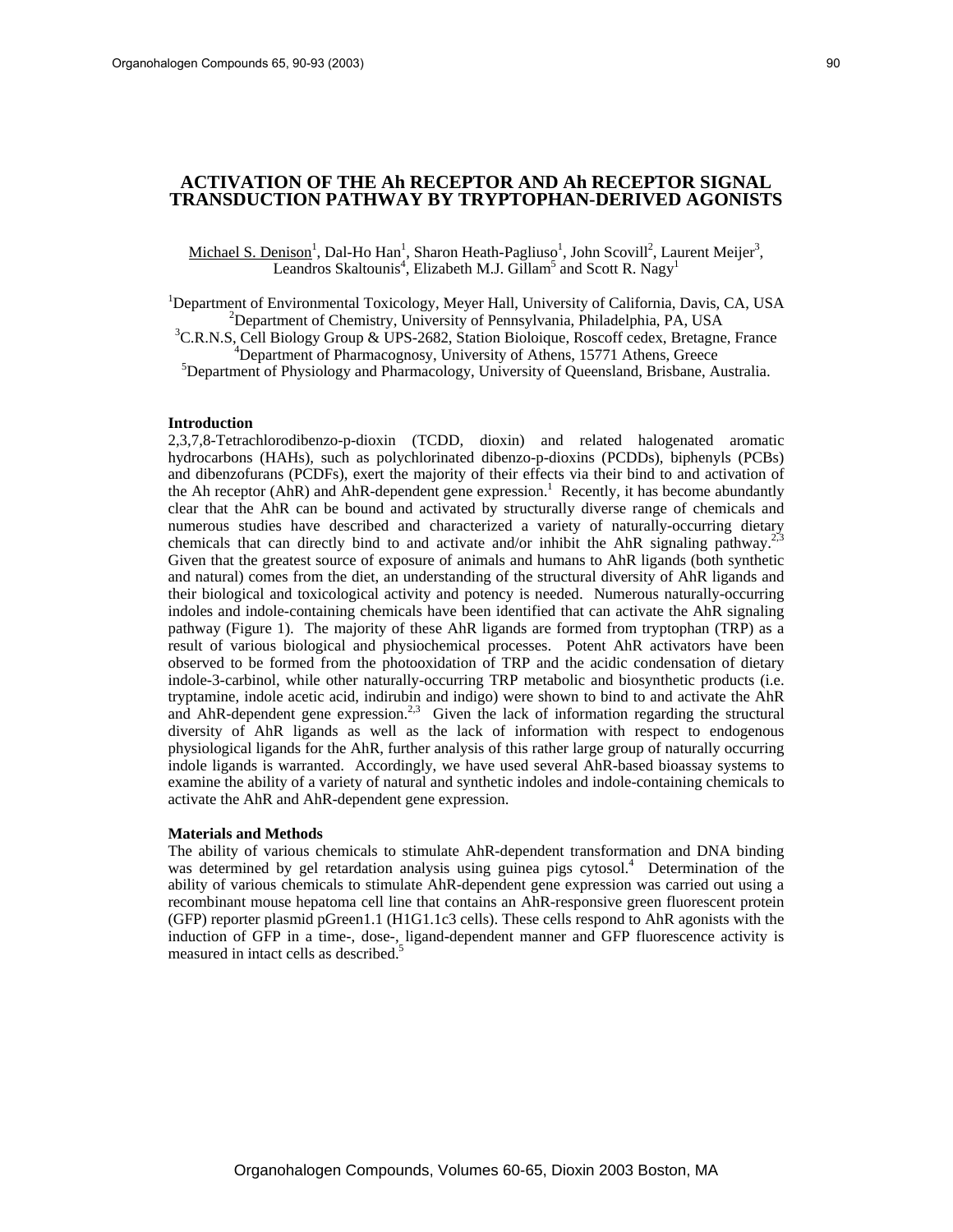# **ACTIVATION OF THE Ah RECEPTOR AND Ah RECEPTOR SIGNAL TRANSDUCTION PATHWAY BY TRYPTOPHAN-DERIVED AGONISTS**

Michael S. Denison<sup>1</sup>, Dal-Ho Han<sup>1</sup>, Sharon Heath-Pagliuso<sup>1</sup>, John Scovill<sup>2</sup>, Laurent Meijer<sup>3</sup>, Leandros Skaltounis<sup>4</sup>, Elizabeth M.J. Gillam<sup>5</sup> and Scott R. Nagy<sup>1</sup>

<sup>1</sup>Department of Environmental Toxicology, Meyer Hall, University of California, Davis, CA, USA<br><sup>2</sup>Department of Chamietry, University of Pennsylvania, Philadelphia, PA, USA <sup>2</sup>Department of Chemistry, University of Pennsylvania, Philadelphia, PA, USA

<sup>3</sup>C.R.N.S, Cell Biology Group & UPS-2682, Station Bioloique, Roscoff cedex, Bretagne, France  $P^4$ Department of Pharmacognosy, University of Athens, 15771 Athens, Greece

<sup>5</sup>Department of Physiology and Pharmacology, University of Queensland, Brisbane, Australia.

### **Introduction**

2,3,7,8-Tetrachlorodibenzo-p-dioxin (TCDD, dioxin) and related halogenated aromatic hydrocarbons (HAHs), such as polychlorinated dibenzo-p-dioxins (PCDDs), biphenyls (PCBs) and dibenzofurans (PCDFs), exert the majority of their effects via their bind to and activation of the Ah receptor (AhR) and AhR-dependent gene expression.<sup>1</sup> Recently, it has become abundantly clear that the AhR can be bound and activated by structurally diverse range of chemicals and numerous studies have described and characterized a variety of naturally-occurring dietary chemicals that can directly bind to and activate and/or inhibit the AhR signaling pathway.<sup>2,</sup> Given that the greatest source of exposure of animals and humans to AhR ligands (both synthetic and natural) comes from the diet, an understanding of the structural diversity of AhR ligands and their biological and toxicological activity and potency is needed. Numerous naturally-occurring indoles and indole-containing chemicals have been identified that can activate the AhR signaling pathway (Figure 1). The majority of these AhR ligands are formed from tryptophan (TRP) as a result of various biological and physiochemical processes. Potent AhR activators have been observed to be formed from the photooxidation of TRP and the acidic condensation of dietary indole-3-carbinol, while other naturally-occurring TRP metabolic and biosynthetic products (i.e. tryptamine, indole acetic acid, indirubin and indigo) were shown to bind to and activate the AhR and AhR-dependent gene expression.<sup>2,3</sup> Given the lack of information regarding the structural diversity of AhR ligands as well as the lack of information with respect to endogenous physiological ligands for the AhR, further analysis of this rather large group of naturally occurring indole ligands is warranted. Accordingly, we have used several AhR-based bioassay systems to examine the ability of a variety of natural and synthetic indoles and indole-containing chemicals to activate the AhR and AhR-dependent gene expression.

### **Materials and Methods**

The ability of various chemicals to stimulate AhR-dependent transformation and DNA binding was determined by gel retardation analysis using guinea pigs cytosol.<sup>4</sup> Determination of the ability of various chemicals to stimulate AhR-dependent gene expression was carried out using a recombinant mouse hepatoma cell line that contains an AhR-responsive green fluorescent protein (GFP) reporter plasmid pGreen1.1 (H1G1.1c3 cells). These cells respond to AhR agonists with the induction of GFP in a time-, dose-, ligand-dependent manner and GFP fluorescence activity is measured in intact cells as described.<sup>5</sup>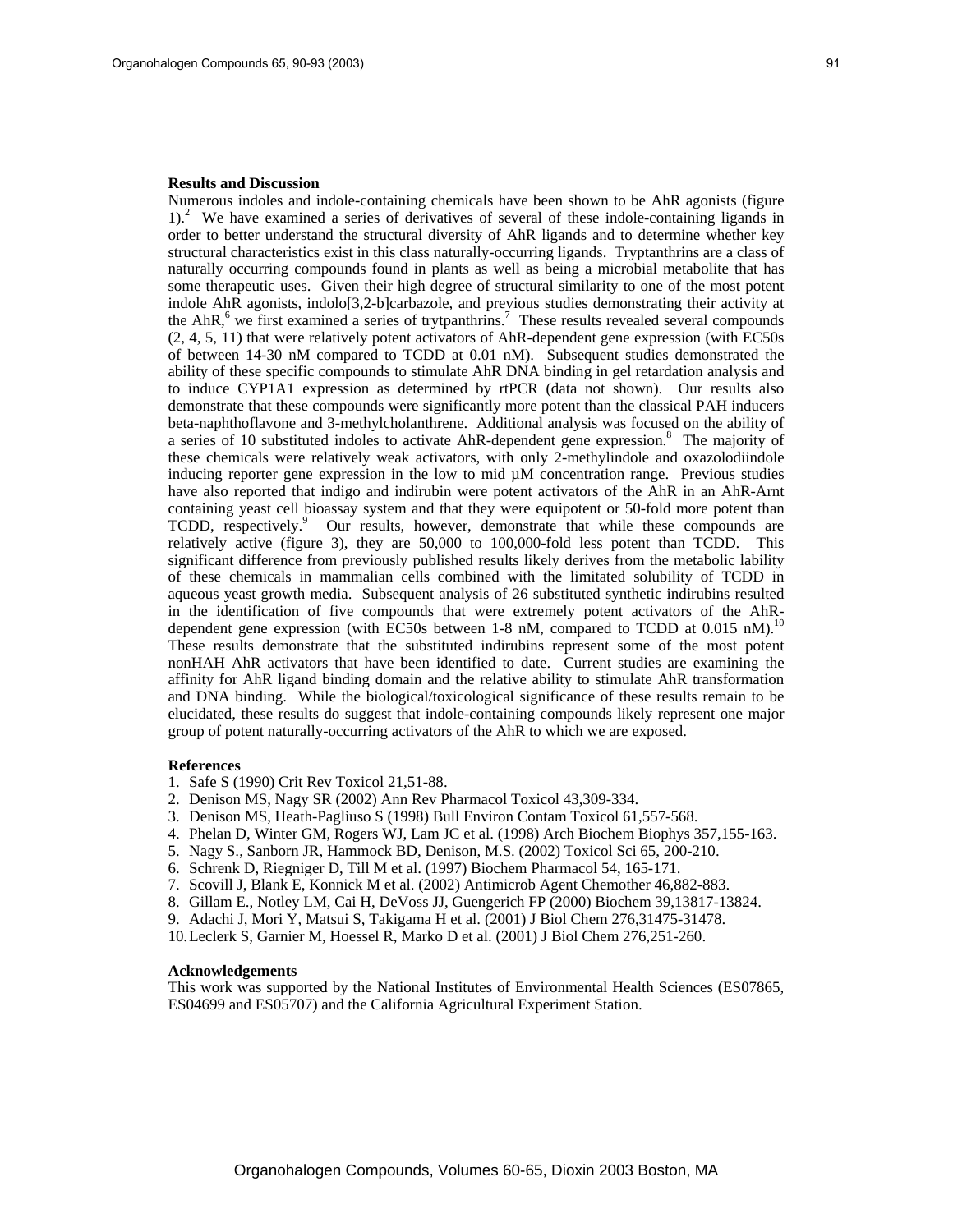#### **Results and Discussion**

Numerous indoles and indole-containing chemicals have been shown to be AhR agonists (figure 1).<sup>2</sup> We have examined a series of derivatives of several of these indole-containing ligands in order to better understand the structural diversity of AhR ligands and to determine whether key structural characteristics exist in this class naturally-occurring ligands. Tryptanthrins are a class of naturally occurring compounds found in plants as well as being a microbial metabolite that has some therapeutic uses. Given their high degree of structural similarity to one of the most potent indole AhR agonists, indolo[3,2-b]carbazole, and previous studies demonstrating their activity at the AhR, $6$  we first examined a series of trytpanthrins.<sup>7</sup> These results revealed several compounds (2, 4, 5, 11) that were relatively potent activators of AhR-dependent gene expression (with EC50s of between 14-30 nM compared to TCDD at 0.01 nM). Subsequent studies demonstrated the ability of these specific compounds to stimulate AhR DNA binding in gel retardation analysis and to induce CYP1A1 expression as determined by rtPCR (data not shown). Our results also demonstrate that these compounds were significantly more potent than the classical PAH inducers beta-naphthoflavone and 3-methylcholanthrene. Additional analysis was focused on the ability of a series of 10 substituted indoles to activate AhR-dependent gene expression.<sup>8</sup> The majority of these chemicals were relatively weak activators, with only 2-methylindole and oxazolodiindole inducing reporter gene expression in the low to mid µM concentration range. Previous studies have also reported that indigo and indirubin were potent activators of the AhR in an AhR-Arnt containing yeast cell bioassay system and that they were equipotent or 50-fold more potent than TCDD, respectively.<sup>9</sup> Our results, however, demonstrate that while these compounds are relatively active (figure 3), they are 50,000 to 100,000-fold less potent than TCDD. This significant difference from previously published results likely derives from the metabolic lability of these chemicals in mammalian cells combined with the limitated solubility of TCDD in aqueous yeast growth media. Subsequent analysis of 26 substituted synthetic indirubins resulted in the identification of five compounds that were extremely potent activators of the AhRdependent gene expression (with EC50s between 1-8 nM, compared to TCDD at 0.015 nM).<sup>10</sup> These results demonstrate that the substituted indirubins represent some of the most potent nonHAH AhR activators that have been identified to date. Current studies are examining the affinity for AhR ligand binding domain and the relative ability to stimulate AhR transformation and DNA binding. While the biological/toxicological significance of these results remain to be elucidated, these results do suggest that indole-containing compounds likely represent one major group of potent naturally-occurring activators of the AhR to which we are exposed.

### **References**

- 1. Safe S (1990) Crit Rev Toxicol 21,51-88.
- 2. Denison MS, Nagy SR (2002) Ann Rev Pharmacol Toxicol 43,309-334.
- 3. Denison MS, Heath-Pagliuso S (1998) Bull Environ Contam Toxicol 61,557-568.
- 4. Phelan D, Winter GM, Rogers WJ, Lam JC et al. (1998) Arch Biochem Biophys 357,155-163.
- 5. Nagy S., Sanborn JR, Hammock BD, Denison, M.S. (2002) Toxicol Sci 65, 200-210.
- 6. Schrenk D, Riegniger D, Till M et al. (1997) Biochem Pharmacol 54, 165-171.
- 7. Scovill J, Blank E, Konnick M et al. (2002) Antimicrob Agent Chemother 46,882-883.
- 8. Gillam E., Notley LM, Cai H, DeVoss JJ, Guengerich FP (2000) Biochem 39,13817-13824.
- 9. Adachi J, Mori Y, Matsui S, Takigama H et al. (2001) J Biol Chem 276,31475-31478.
- 10. Leclerk S, Garnier M, Hoessel R, Marko D et al. (2001) J Biol Chem 276,251-260.

## **Acknowledgements**

This work was supported by the National Institutes of Environmental Health Sciences (ES07865, ES04699 and ES05707) and the California Agricultural Experiment Station.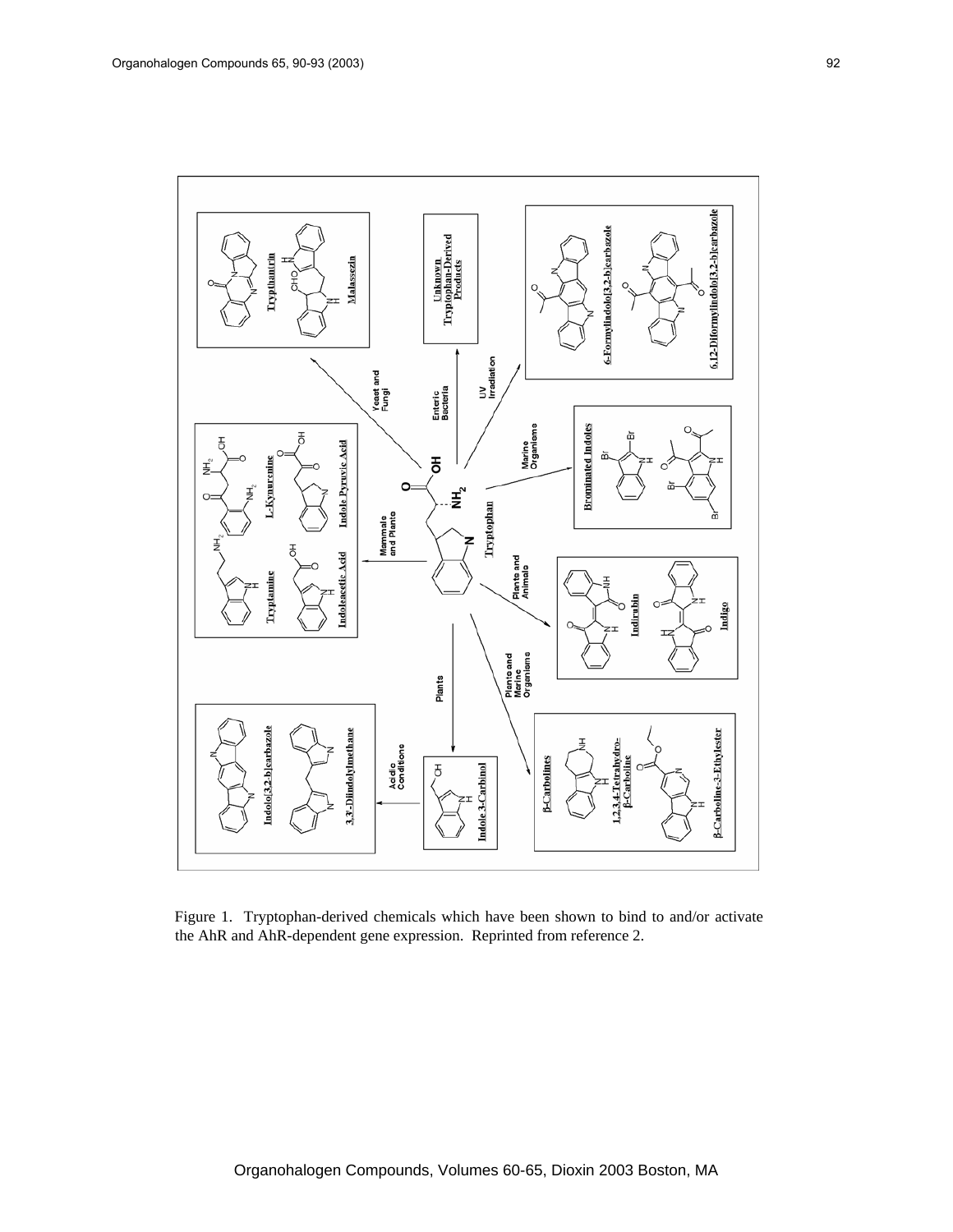

Figure 1. Tryptophan-derived chemicals which have been shown to bind to and/or activate the AhR and AhR-dependent gene expression. Reprinted from reference 2.